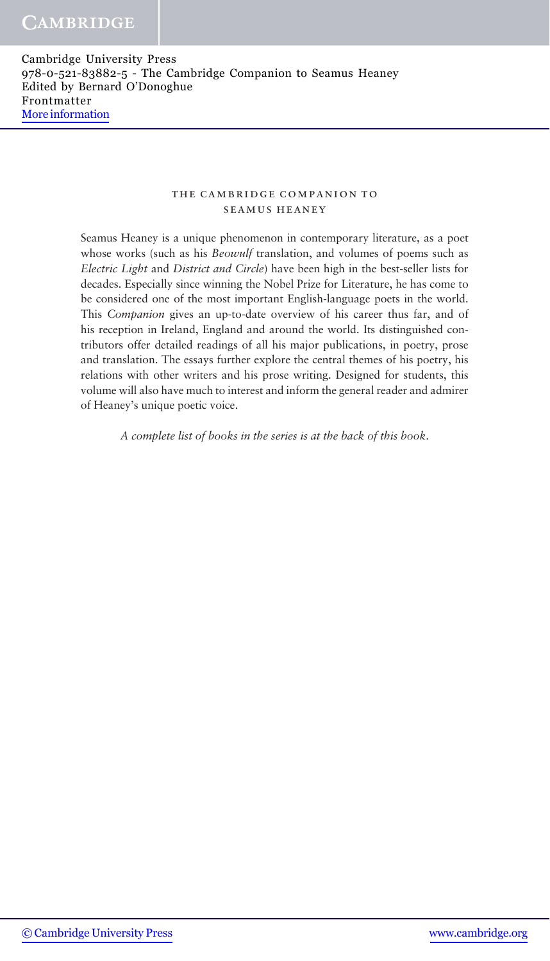### the cambridge companion to seamus heaney

Seamus Heaney is a unique phenomenon in contemporary literature, as a poet whose works (such as his Beowulf translation, and volumes of poems such as Electric Light and District and Circle) have been high in the best-seller lists for decades. Especially since winning the Nobel Prize for Literature, he has come to be considered one of the most important English-language poets in the world. This Companion gives an up-to-date overview of his career thus far, and of his reception in Ireland, England and around the world. Its distinguished contributors offer detailed readings of all his major publications, in poetry, prose and translation. The essays further explore the central themes of his poetry, his relations with other writers and his prose writing. Designed for students, this volume will also have much to interest and inform the general reader and admirer of Heaney's unique poetic voice.

A complete list of books in the series is at the back of this book.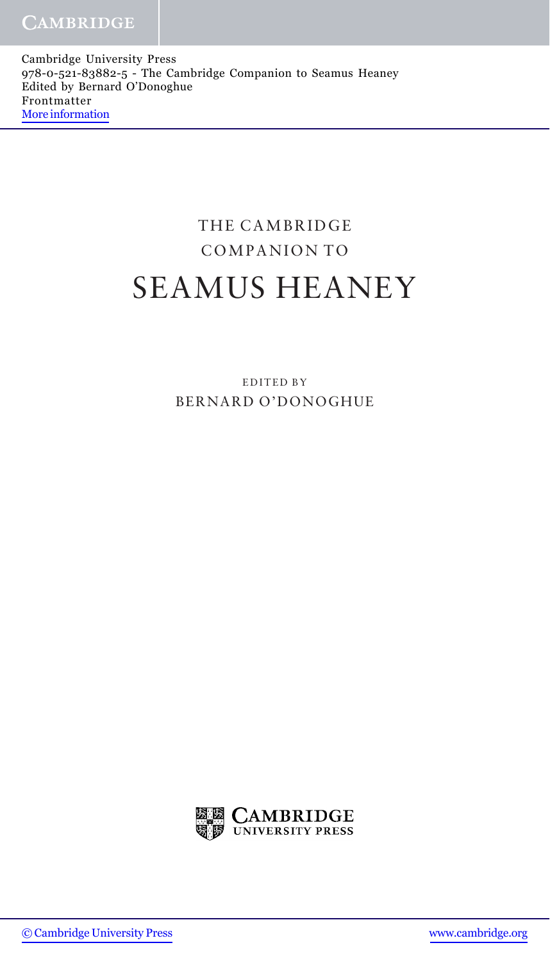Cambridge University Press 978-0-521-83882-5 - The Cambridge Companion to Seamus Heaney Edited by Bernard O'Donoghue Frontmatter [More information](http://www.cambridge.org/9780521838825)

# THE CAMBRIDGE COMPANION TO SEAMUS HEANEY

EDITED BY BERNARD O'DONOGHUE

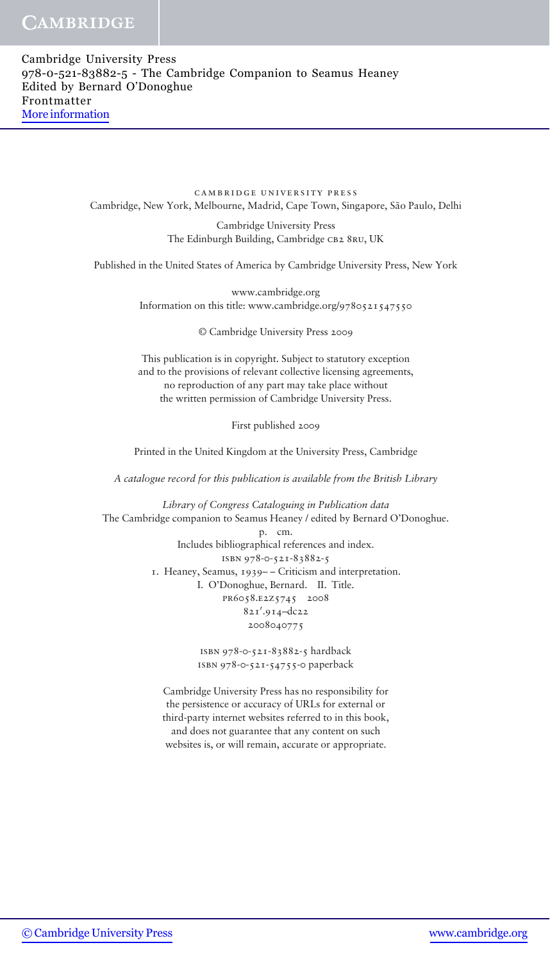cambridge university press Cambridge, New York, Melbourne, Madrid, Cape Town, Singapore, São Paulo, Delhi

> Cambridge University Press The Edinburgh Building, Cambridge CB2 8RU, UK

Published in the United States of America by Cambridge University Press, New York

www.cambridge.org Information on this title: www.cambridge.org/9780521547550

© Cambridge University Press 2009

This publication is in copyright. Subject to statutory exception and to the provisions of relevant collective licensing agreements, no reproduction of any part may take place without the written permission of Cambridge University Press.

First published 2009

Printed in the United Kingdom at the University Press, Cambridge

A catalogue record for this publication is available from the British Library

Library of Congress Cataloguing in Publication data The Cambridge companion to Seamus Heaney / edited by Bernard O'Donoghue. p. cm. Includes bibliographical references and index. isbn 978-0-521-83882-5 1. Heaney, Seamus, 1939– – Criticism and interpretation. I. O'Donoghue, Bernard. II. Title. pr6058.e2z5745 2008 821'.914-dc22 2008040775

> isbn 978-0-521-83882-5 hardback isbn 978-0-521-54755-0 paperback

Cambridge University Press has no responsibility for the persistence or accuracy of URLs for external or third-party internet websites referred to in this book, and does not guarantee that any content on such websites is, or will remain, accurate or appropriate.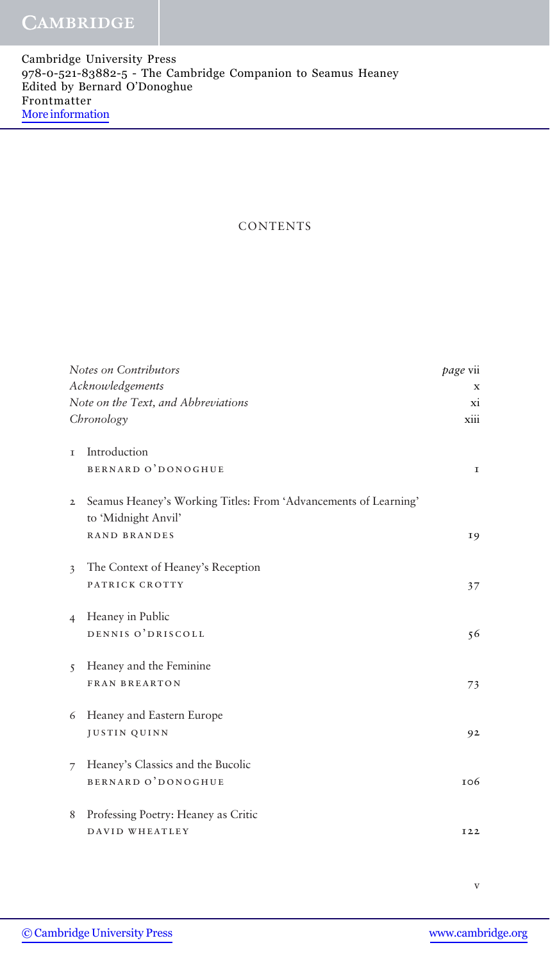# **CONTENTS**

| Notes on Contributors                                           | <i>page</i> vii |
|-----------------------------------------------------------------|-----------------|
| Acknowledgements                                                | X               |
| Note on the Text, and Abbreviations                             |                 |
| Chronology                                                      | xiii            |
|                                                                 |                 |
| Introduction<br>T                                               |                 |
| <b>BERNARD O'DONOGHUE</b>                                       | $\mathbf I$     |
| Seamus Heaney's Working Titles: From 'Advancements of Learning' |                 |
| $\mathbf{2}$                                                    |                 |
| to 'Midnight Anvil'                                             |                 |
| <b>RAND BRANDES</b>                                             | 19              |
| The Context of Heaney's Reception<br>$\overline{\mathbf{3}}$    |                 |
| PATRICK CROTTY                                                  | 37              |
|                                                                 |                 |
| Heaney in Public<br>$\overline{4}$                              |                 |
| DENNIS O'DRISCOLL                                               | 56              |
|                                                                 |                 |
| Heaney and the Feminine<br>$\overline{5}$                       |                 |
| <b>FRAN BREARTON</b>                                            | 73              |
| Heaney and Eastern Europe<br>6                                  |                 |
| <b>JUSTIN QUINN</b>                                             | 92              |
|                                                                 |                 |
| Heaney's Classics and the Bucolic<br>$\overline{7}$             |                 |
| <b>BERNARD O'DONOGHUE</b>                                       | 106             |
|                                                                 |                 |
| Professing Poetry: Heaney as Critic<br>8                        |                 |
| DAVID WHEATLEY                                                  | I <sub>22</sub> |
|                                                                 |                 |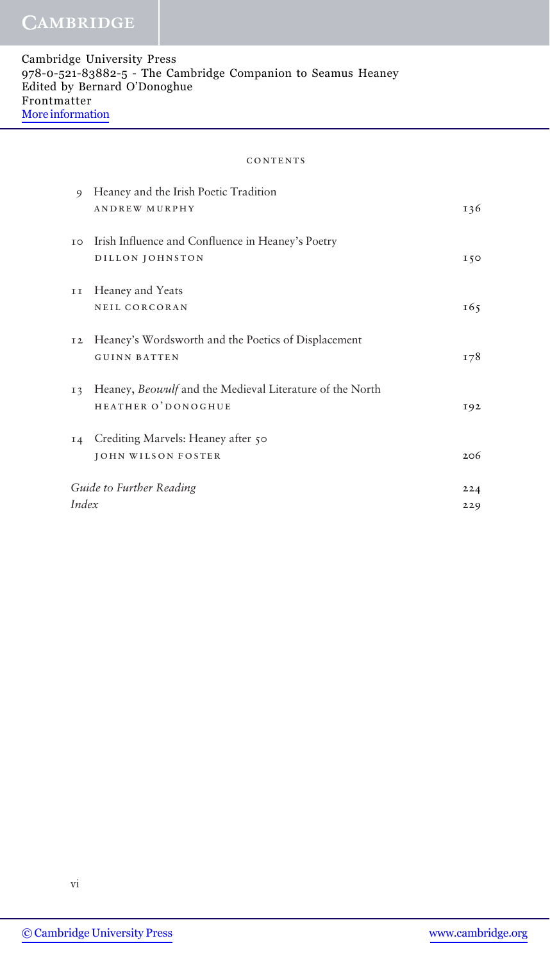#### **CONTENTS**

| 9              | Heaney and the Irish Poetic Tradition                    |           |
|----------------|----------------------------------------------------------|-----------|
|                | <b>ANDREW MURPHY</b>                                     | 136       |
| IO             | Irish Influence and Confluence in Heaney's Poetry        |           |
|                | DILLON JOHNSTON                                          | 150       |
| II             | Heaney and Yeats                                         |           |
|                | NEIL CORCORAN                                            | 165       |
| 12             | Heaney's Wordsworth and the Poetics of Displacement      |           |
|                | <b>GUINN BATTEN</b>                                      | 178       |
| I <sub>3</sub> | Heaney, Beowulf and the Medieval Literature of the North |           |
|                | HEATHER O'DONOGHUE                                       | 192       |
|                | 14 Crediting Marvels: Heaney after 50                    |           |
|                | <b>JOHN WILSON FOSTER</b>                                | 206       |
|                | Guide to Further Reading                                 | $2.2 - 4$ |
| Index          |                                                          | 229       |
|                |                                                          |           |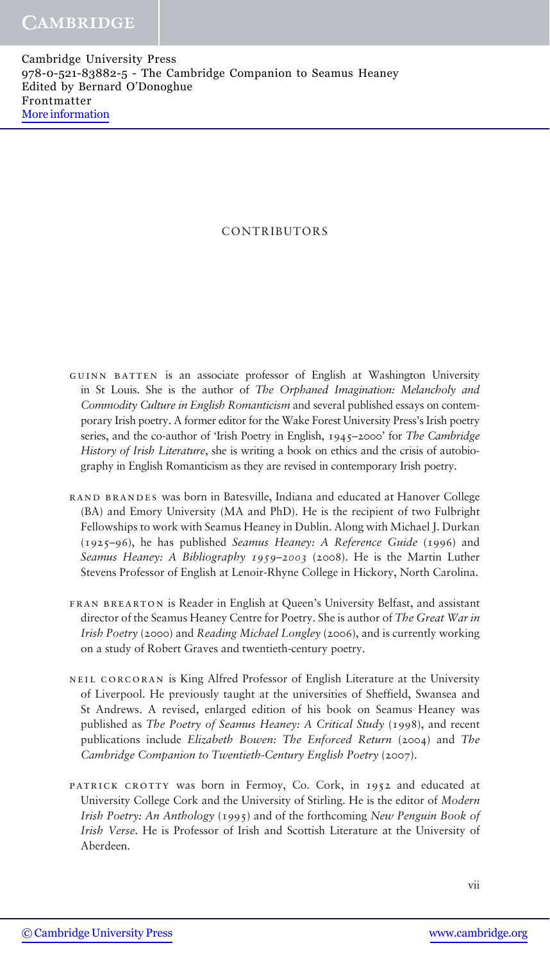## CONTRIBUTORS

- guinn batten is an associate professor of English at Washington University in St Louis. She is the author of The Orphaned Imagination: Melancholy and Commodity Culture in English Romanticism and several published essays on contemporary Irish poetry. A former editor for the Wake Forest University Press's Irish poetry series, and the co-author of 'Irish Poetry in English, 1945–2000' for The Cambridge History of Irish Literature, she is writing a book on ethics and the crisis of autobiography in English Romanticism as they are revised in contemporary Irish poetry.
- rand brandes was born in Batesville, Indiana and educated at Hanover College (BA) and Emory University (MA and PhD). He is the recipient of two Fulbright Fellowships to work with Seamus Heaney in Dublin. Along with Michael J. Durkan (1925–96), he has published Seamus Heaney: A Reference Guide (1996) and Seamus Heaney: A Bibliography *1959*–*2003* (2008). He is the Martin Luther Stevens Professor of English at Lenoir-Rhyne College in Hickory, North Carolina.
- FRAN BREARTON is Reader in English at Queen's University Belfast, and assistant director of the Seamus Heaney Centre for Poetry. She is author of The Great War in Irish Poetry (2000) and Reading Michael Longley (2006), and is currently working on a study of Robert Graves and twentieth-century poetry.
- neil corcoran is King Alfred Professor of English Literature at the University of Liverpool. He previously taught at the universities of Sheffield, Swansea and St Andrews. A revised, enlarged edition of his book on Seamus Heaney was published as The Poetry of Seamus Heaney: A Critical Study (1998), and recent publications include Elizabeth Bowen: The Enforced Return (2004) and The Cambridge Companion to Twentieth-Century English Poetry (2007).
- patrick crotty was born in Fermoy, Co. Cork, in 1952 and educated at University College Cork and the University of Stirling. He is the editor of Modern Irish Poetry: An Anthology (1995) and of the forthcoming New Penguin Book of Irish Verse. He is Professor of Irish and Scottish Literature at the University of Aberdeen.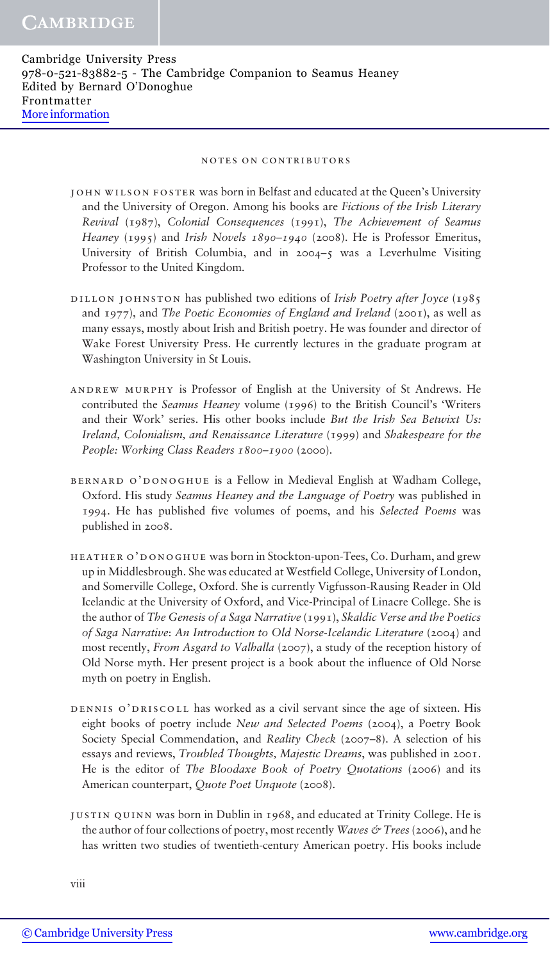#### notes on contributors

john wilson foster was born in Belfast and educated at the Queen's University and the University of Oregon. Among his books are Fictions of the Irish Literary Revival (1987), Colonial Consequences (1991), The Achievement of Seamus Heaney (1995) and Irish Novels *1890*–*1940* (2008). He is Professor Emeritus, University of British Columbia, and in 2004–5 was a Leverhulme Visiting Professor to the United Kingdom.

- DILLON JOHNSTON has published two editions of *Irish Poetry after Joyce* (1985) and 1977), and The Poetic Economies of England and Ireland (2001), as well as many essays, mostly about Irish and British poetry. He was founder and director of Wake Forest University Press. He currently lectures in the graduate program at Washington University in St Louis.
- andrew murphy is Professor of English at the University of St Andrews. He contributed the Seamus Heaney volume (1996) to the British Council's 'Writers and their Work' series. His other books include But the Irish Sea Betwixt Us: Ireland, Colonialism, and Renaissance Literature (1999) and Shakespeare for the People: Working Class Readers *1800*–*1900* (2000).
- bernard o'donoghue is a Fellow in Medieval English at Wadham College, Oxford. His study Seamus Heaney and the Language of Poetry was published in 1994. He has published five volumes of poems, and his Selected Poems was published in 2008.
- heather o'donoghue was born in Stockton-upon-Tees, Co. Durham, and grew up in Middlesbrough. She was educated at Westfield College, University of London, and Somerville College, Oxford. She is currently Vigfusson-Rausing Reader in Old Icelandic at the University of Oxford, and Vice-Principal of Linacre College. She is the author of The Genesis of a Saga Narrative (1991), Skaldic Verse and the Poetics of Saga Narrative: An Introduction to Old Norse-Icelandic Literature (2004) and most recently, From Asgard to Valhalla (2007), a study of the reception history of Old Norse myth. Her present project is a book about the influence of Old Norse myth on poetry in English.
- dennis o'driscoll has worked as a civil servant since the age of sixteen. His eight books of poetry include New and Selected Poems (2004), a Poetry Book Society Special Commendation, and Reality Check (2007–8). A selection of his essays and reviews, Troubled Thoughts, Majestic Dreams, was published in 2001. He is the editor of The Bloodaxe Book of Poetry Quotations (2006) and its American counterpart, Quote Poet Unquote (2008).
- justin quinn was born in Dublin in 1968, and educated at Trinity College. He is the author of four collections of poetry, most recently *Waves & Trees* (2006), and he has written two studies of twentieth-century American poetry. His books include

viii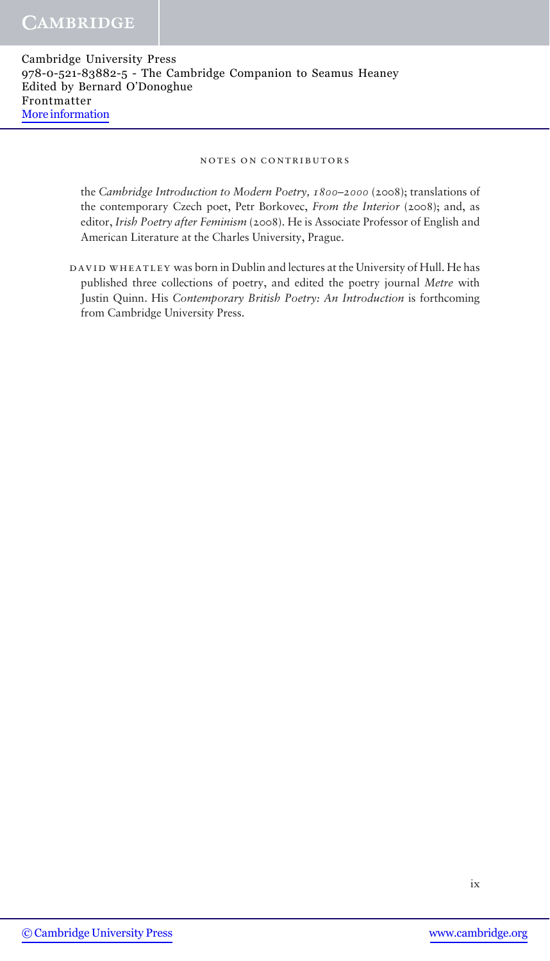#### notes on contributors

the Cambridge Introduction to Modern Poetry, *1800*–*2000* (2008); translations of the contemporary Czech poet, Petr Borkovec, From the Interior (2008); and, as editor, Irish Poetry after Feminism (2008). He is Associate Professor of English and American Literature at the Charles University, Prague.

DAVID WHEATLEY was born in Dublin and lectures at the University of Hull. He has published three collections of poetry, and edited the poetry journal Metre with Justin Quinn. His Contemporary British Poetry: An Introduction is forthcoming from Cambridge University Press.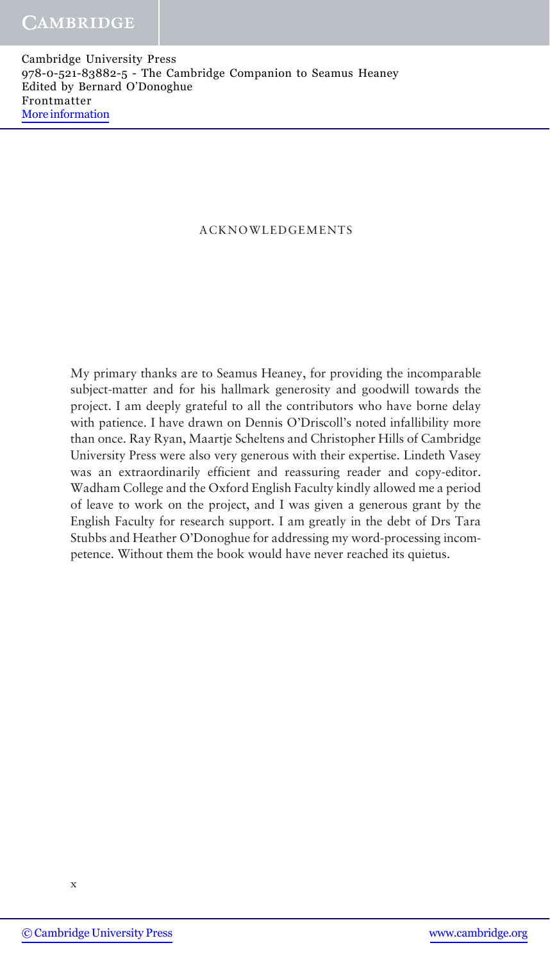## ACKNOWLEDGEMENTS

My primary thanks are to Seamus Heaney, for providing the incomparable subject-matter and for his hallmark generosity and goodwill towards the project. I am deeply grateful to all the contributors who have borne delay with patience. I have drawn on Dennis O'Driscoll's noted infallibility more than once. Ray Ryan, Maartje Scheltens and Christopher Hills of Cambridge University Press were also very generous with their expertise. Lindeth Vasey was an extraordinarily efficient and reassuring reader and copy-editor. Wadham College and the Oxford English Faculty kindly allowed me a period of leave to work on the project, and I was given a generous grant by the English Faculty for research support. I am greatly in the debt of Drs Tara Stubbs and Heather O'Donoghue for addressing my word-processing incompetence. Without them the book would have never reached its quietus.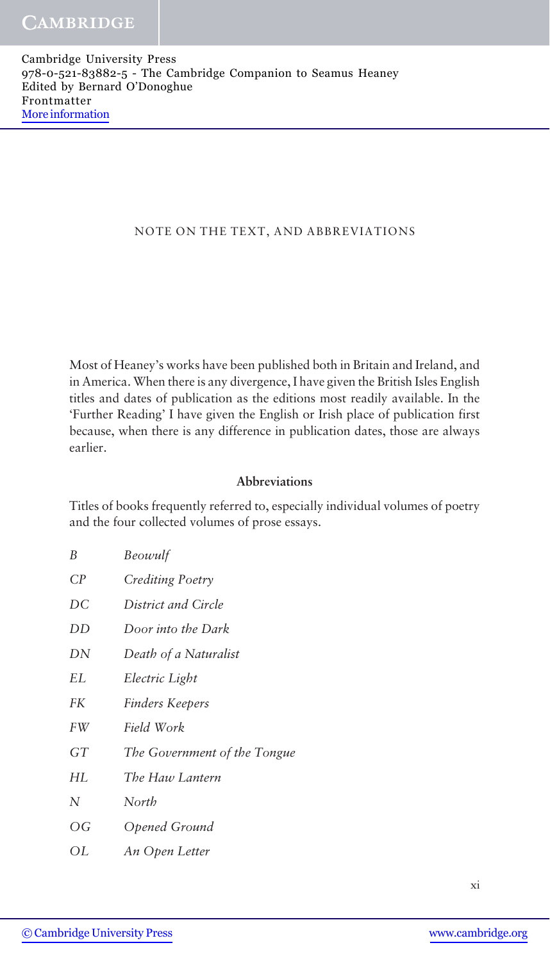## NOTE ON THE TEXT, AND ABBREVIATIONS

Most of Heaney's works have been published both in Britain and Ireland, and in America. When there is any divergence, I have given the British Isles English titles and dates of publication as the editions most readily available. In the 'Further Reading' I have given the English or Irish place of publication first because, when there is any difference in publication dates, those are always earlier.

## Abbreviations

Titles of books frequently referred to, especially individual volumes of poetry and the four collected volumes of prose essays.

| B                        | Beowulf                      |
|--------------------------|------------------------------|
| CP                       | Crediting Poetry             |
| DC                       | District and Circle          |
| DD                       | Door into the Dark           |
| DN                       | Death of a Naturalist        |
| EL                       | Electric Light               |
| FK                       | Finders Keepers              |
| FW                       | Field Work                   |
| GT                       | The Government of the Tongue |
| HL                       | The Haw Lantern              |
| N                        | North                        |
| $\overline{\mathrm{OG}}$ | Opened Ground                |
| ΟL                       | An Open Letter               |

xi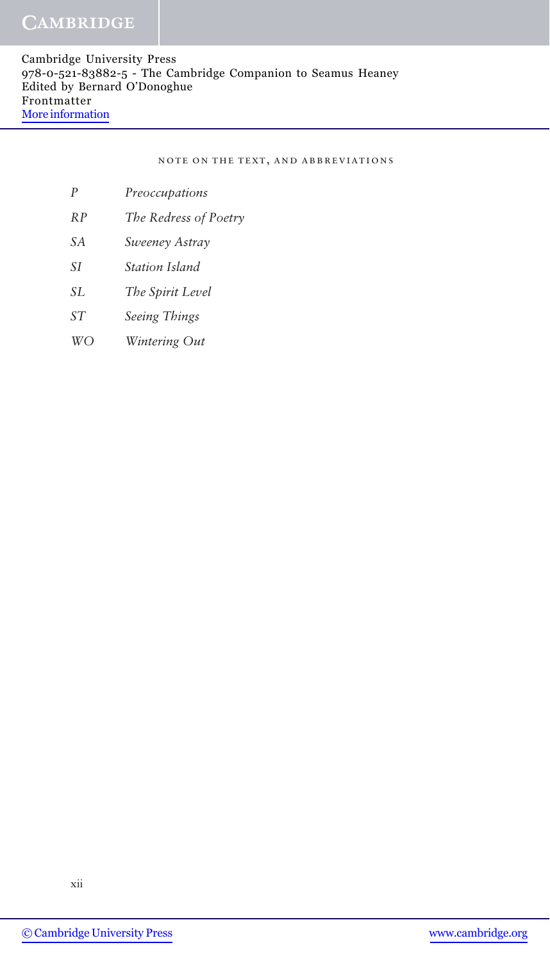note on the text, and abbreviations

- P Preoccupations
- RP The Redress of Poetry
- SA Sweeney Astray
- SI Station Island
- SL The Spirit Level
- ST Seeing Things
- WO Wintering Out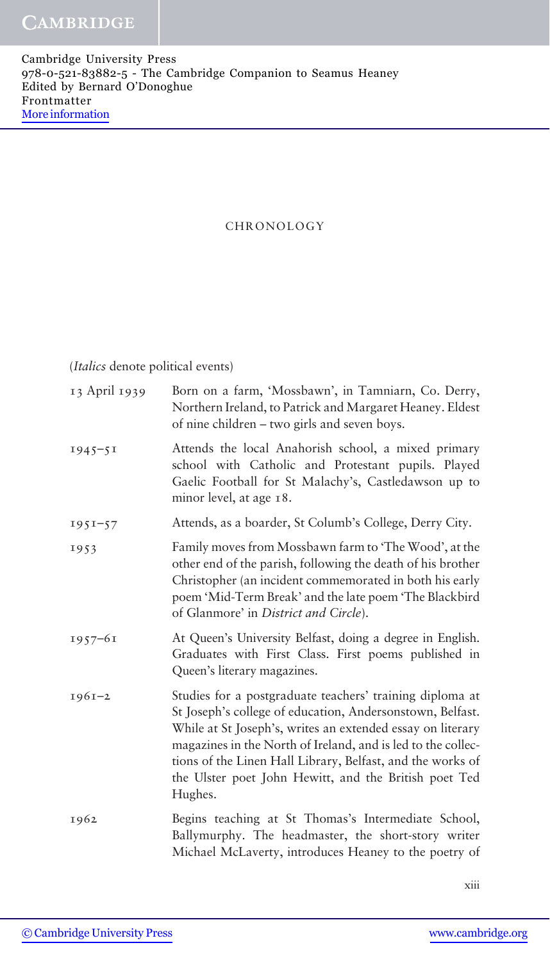## CHRONOLOGY

(Italics denote political events)

| 13 April 1939 | Born on a farm, 'Mossbawn', in Tamniarn, Co. Derry,<br>Northern Ireland, to Patrick and Margaret Heaney. Eldest<br>of nine children - two girls and seven boys.                                                                                                                                                                                                                       |
|---------------|---------------------------------------------------------------------------------------------------------------------------------------------------------------------------------------------------------------------------------------------------------------------------------------------------------------------------------------------------------------------------------------|
| $1945 - 51$   | Attends the local Anahorish school, a mixed primary<br>school with Catholic and Protestant pupils. Played<br>Gaelic Football for St Malachy's, Castledawson up to<br>minor level, at age 18.                                                                                                                                                                                          |
| $1951 - 57$   | Attends, as a boarder, St Columb's College, Derry City.                                                                                                                                                                                                                                                                                                                               |
| 1953          | Family moves from Mossbawn farm to 'The Wood', at the<br>other end of the parish, following the death of his brother<br>Christopher (an incident commemorated in both his early<br>poem 'Mid-Term Break' and the late poem 'The Blackbird<br>of Glanmore' in District and Circle).                                                                                                    |
| $1957 - 61$   | At Queen's University Belfast, doing a degree in English.<br>Graduates with First Class. First poems published in<br>Queen's literary magazines.                                                                                                                                                                                                                                      |
| $1961 - 2$    | Studies for a postgraduate teachers' training diploma at<br>St Joseph's college of education, Andersonstown, Belfast.<br>While at St Joseph's, writes an extended essay on literary<br>magazines in the North of Ireland, and is led to the collec-<br>tions of the Linen Hall Library, Belfast, and the works of<br>the Ulster poet John Hewitt, and the British poet Ted<br>Hughes. |
| 1962          | Begins teaching at St Thomas's Intermediate School,<br>Ballymurphy. The headmaster, the short-story writer<br>Michael McLaverty, introduces Heaney to the poetry of                                                                                                                                                                                                                   |

xiii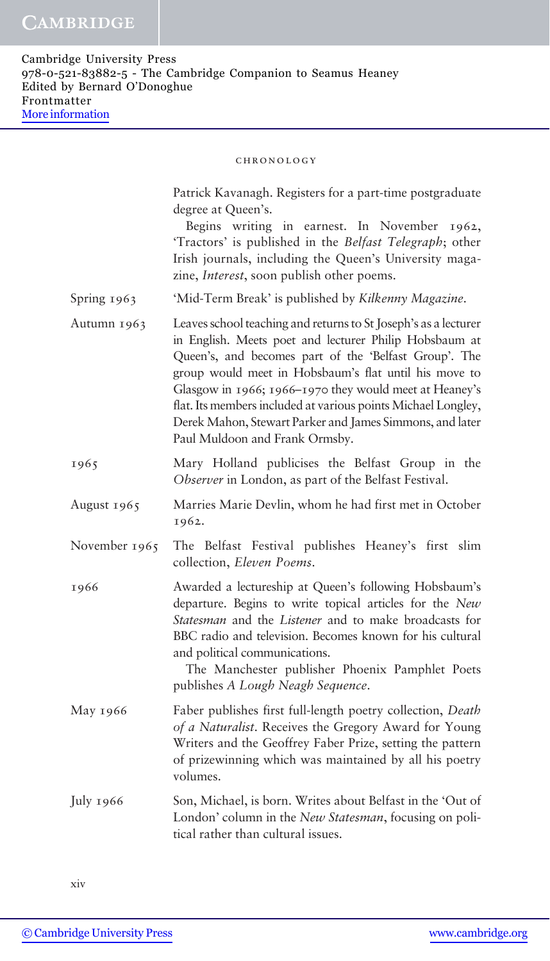|               | Patrick Kavanagh. Registers for a part-time postgraduate<br>degree at Queen's.<br>Begins writing in earnest. In November<br>1962,<br>'Tractors' is published in the Belfast Telegraph; other<br>Irish journals, including the Queen's University maga-<br>zine, <i>Interest</i> , soon publish other poems.                                                                                                                                                          |
|---------------|----------------------------------------------------------------------------------------------------------------------------------------------------------------------------------------------------------------------------------------------------------------------------------------------------------------------------------------------------------------------------------------------------------------------------------------------------------------------|
| Spring 1963   | 'Mid-Term Break' is published by Kilkenny Magazine.                                                                                                                                                                                                                                                                                                                                                                                                                  |
| Autumn 1963   | Leaves school teaching and returns to St Joseph's as a lecturer<br>in English. Meets poet and lecturer Philip Hobsbaum at<br>Queen's, and becomes part of the 'Belfast Group'. The<br>group would meet in Hobsbaum's flat until his move to<br>Glasgow in 1966; 1966-1970 they would meet at Heaney's<br>flat. Its members included at various points Michael Longley,<br>Derek Mahon, Stewart Parker and James Simmons, and later<br>Paul Muldoon and Frank Ormsby. |
| 1965          | Mary Holland publicises the Belfast Group in the<br>Observer in London, as part of the Belfast Festival.                                                                                                                                                                                                                                                                                                                                                             |
| August 1965   | Marries Marie Devlin, whom he had first met in October<br>1962.                                                                                                                                                                                                                                                                                                                                                                                                      |
| November 1965 | The Belfast Festival publishes Heaney's first slim<br>collection, Eleven Poems.                                                                                                                                                                                                                                                                                                                                                                                      |
| 1966          | Awarded a lectureship at Queen's following Hobsbaum's<br>departure. Begins to write topical articles for the New<br>Statesman and the Listener and to make broadcasts for<br>BBC radio and television. Becomes known for his cultural<br>and political communications.<br>The Manchester publisher Phoenix Pamphlet Poets<br>publishes A Lough Neagh Sequence.                                                                                                       |
| May 1966      | Faber publishes first full-length poetry collection, Death<br>of a Naturalist. Receives the Gregory Award for Young<br>Writers and the Geoffrey Faber Prize, setting the pattern<br>of prizewinning which was maintained by all his poetry<br>volumes.                                                                                                                                                                                                               |
| July 1966     | Son, Michael, is born. Writes about Belfast in the 'Out of<br>London' column in the New Statesman, focusing on poli-<br>tical rather than cultural issues.                                                                                                                                                                                                                                                                                                           |

xiv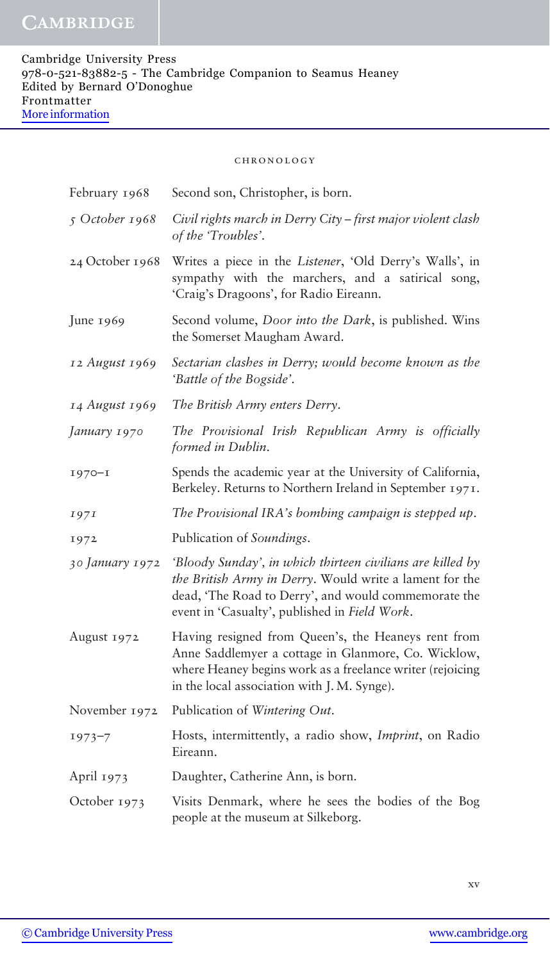| February 1968   | Second son, Christopher, is born.                                                                                                                                                                                              |
|-----------------|--------------------------------------------------------------------------------------------------------------------------------------------------------------------------------------------------------------------------------|
| 5 October 1968  | Civil rights march in Derry City - first major violent clash<br>of the 'Troubles'.                                                                                                                                             |
| 24 October 1968 | Writes a piece in the Listener, 'Old Derry's Walls', in<br>sympathy with the marchers, and a satirical song,<br>'Craig's Dragoons', for Radio Eireann.                                                                         |
| June 1969       | Second volume, Door into the Dark, is published. Wins<br>the Somerset Maugham Award.                                                                                                                                           |
| 12 August 1969  | Sectarian clashes in Derry; would become known as the<br>'Battle of the Bogside'.                                                                                                                                              |
| 14 August 1969  | The British Army enters Derry.                                                                                                                                                                                                 |
| January 1970    | The Provisional Irish Republican Army is officially<br>formed in Dublin.                                                                                                                                                       |
| $1970 - 1$      | Spends the academic year at the University of California,<br>Berkeley. Returns to Northern Ireland in September 1971.                                                                                                          |
| 1971            | The Provisional IRA's bombing campaign is stepped up.                                                                                                                                                                          |
| 1972            | Publication of Soundings.                                                                                                                                                                                                      |
| 30 January 1972 | 'Bloody Sunday', in which thirteen civilians are killed by<br>the British Army in Derry. Would write a lament for the<br>dead, 'The Road to Derry', and would commemorate the<br>event in 'Casualty', published in Field Work. |
| August 1972     | Having resigned from Queen's, the Heaneys rent from<br>Anne Saddlemyer a cottage in Glanmore, Co. Wicklow,<br>where Heaney begins work as a freelance writer (rejoicing<br>in the local association with J. M. Synge).         |
| November 1972   | Publication of Wintering Out.                                                                                                                                                                                                  |
| $1973 - 7$      | Hosts, intermittently, a radio show, Imprint, on Radio<br>Eireann.                                                                                                                                                             |
| April 1973      | Daughter, Catherine Ann, is born.                                                                                                                                                                                              |
| October 1973    | Visits Denmark, where he sees the bodies of the Bog<br>people at the museum at Silkeborg.                                                                                                                                      |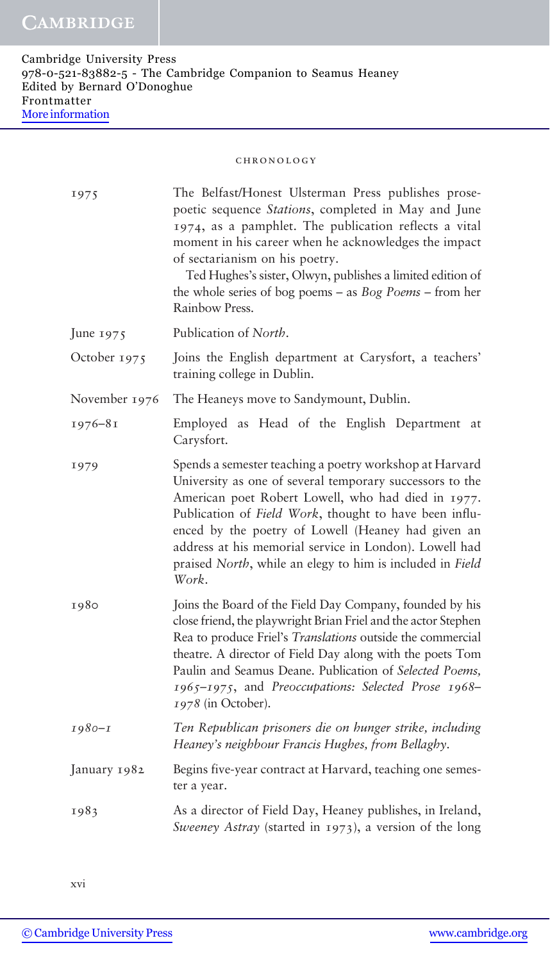| 1975          | The Belfast/Honest Ulsterman Press publishes prose-<br>poetic sequence Stations, completed in May and June<br>1974, as a pamphlet. The publication reflects a vital<br>moment in his career when he acknowledges the impact<br>of sectarianism on his poetry.<br>Ted Hughes's sister, Olwyn, publishes a limited edition of<br>the whole series of bog poems $-$ as $Bog Poems - from her$<br>Rainbow Press.              |
|---------------|---------------------------------------------------------------------------------------------------------------------------------------------------------------------------------------------------------------------------------------------------------------------------------------------------------------------------------------------------------------------------------------------------------------------------|
| June 1975     | Publication of North.                                                                                                                                                                                                                                                                                                                                                                                                     |
| October 1975  | Joins the English department at Carysfort, a teachers'<br>training college in Dublin.                                                                                                                                                                                                                                                                                                                                     |
| November 1976 | The Heaneys move to Sandymount, Dublin.                                                                                                                                                                                                                                                                                                                                                                                   |
| $1976 - 81$   | Employed as Head of the English Department<br>at<br>Carysfort.                                                                                                                                                                                                                                                                                                                                                            |
| 1979          | Spends a semester teaching a poetry workshop at Harvard<br>University as one of several temporary successors to the<br>American poet Robert Lowell, who had died in 1977.<br>Publication of Field Work, thought to have been influ-<br>enced by the poetry of Lowell (Heaney had given an<br>address at his memorial service in London). Lowell had<br>praised North, while an elegy to him is included in Field<br>Work. |
| 1980          | Joins the Board of the Field Day Company, founded by his<br>close friend, the playwright Brian Friel and the actor Stephen<br>Rea to produce Friel's Translations outside the commercial<br>theatre. A director of Field Day along with the poets Tom<br>Paulin and Seamus Deane. Publication of Selected Poems,<br>1965-1975, and Preoccupations: Selected Prose 1968-<br>1978 (in October).                             |
| $1980 - I$    | Ten Republican prisoners die on hunger strike, including<br>Heaney's neighbour Francis Hughes, from Bellaghy.                                                                                                                                                                                                                                                                                                             |
| January 1982  | Begins five-year contract at Harvard, teaching one semes-<br>ter a year.                                                                                                                                                                                                                                                                                                                                                  |
| 1983          | As a director of Field Day, Heaney publishes, in Ireland,<br>Sweeney Astray (started in 1973), a version of the long                                                                                                                                                                                                                                                                                                      |

xvi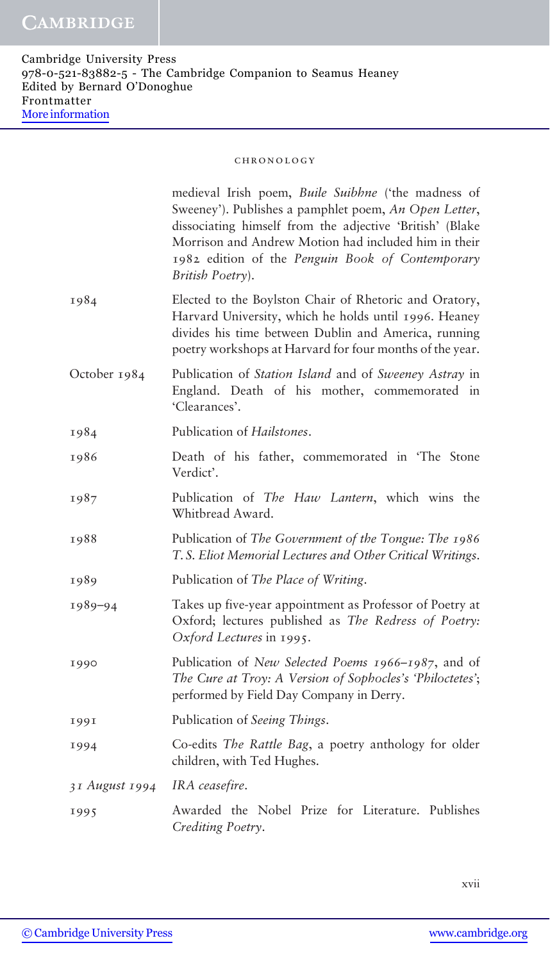|                | medieval Irish poem, Buile Suibhne ('the madness of<br>Sweeney'). Publishes a pamphlet poem, An Open Letter,<br>dissociating himself from the adjective 'British' (Blake<br>Morrison and Andrew Motion had included him in their<br>1982 edition of the Penguin Book of Contemporary<br>British Poetry). |
|----------------|----------------------------------------------------------------------------------------------------------------------------------------------------------------------------------------------------------------------------------------------------------------------------------------------------------|
| 1984           | Elected to the Boylston Chair of Rhetoric and Oratory,<br>Harvard University, which he holds until 1996. Heaney<br>divides his time between Dublin and America, running<br>poetry workshops at Harvard for four months of the year.                                                                      |
| October 1984   | Publication of Station Island and of Sweeney Astray in<br>England. Death of his mother, commemorated in<br>'Clearances'.                                                                                                                                                                                 |
| 1984           | Publication of <i>Hailstones</i> .                                                                                                                                                                                                                                                                       |
| 1986           | Death of his father, commemorated in 'The Stone<br>Verdict'.                                                                                                                                                                                                                                             |
| 1987           | Publication of The Haw Lantern, which wins the<br>Whitbread Award.                                                                                                                                                                                                                                       |
| 1988           | Publication of The Government of the Tongue: The 1986<br>T.S. Eliot Memorial Lectures and Other Critical Writings.                                                                                                                                                                                       |
| 1989           | Publication of The Place of Writing.                                                                                                                                                                                                                                                                     |
| 1989-94        | Takes up five-year appointment as Professor of Poetry at<br>Oxford; lectures published as The Redress of Poetry:<br>Oxford Lectures in 1995.                                                                                                                                                             |
| 1990           | Publication of New Selected Poems 1966–1987, and of<br>The Cure at Troy: A Version of Sophocles's 'Philoctetes';<br>performed by Field Day Company in Derry.                                                                                                                                             |
| 1991           | Publication of Seeing Things.                                                                                                                                                                                                                                                                            |
| 1994           | Co-edits The Rattle Bag, a poetry anthology for older<br>children, with Ted Hughes.                                                                                                                                                                                                                      |
| 31 August 1994 | IRA ceasefire.                                                                                                                                                                                                                                                                                           |
| 1995           | Awarded the Nobel Prize for Literature. Publishes<br>Crediting Poetry.                                                                                                                                                                                                                                   |

xvii